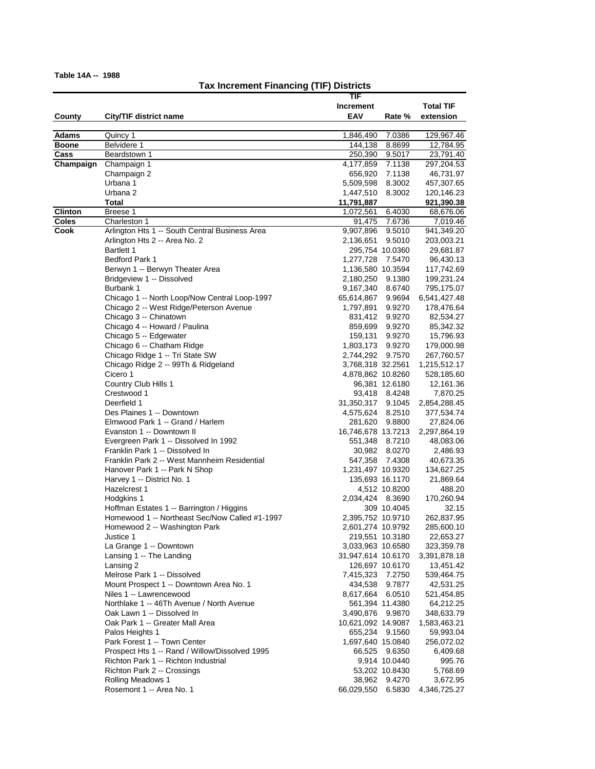# **Tax Increment Financing (TIF) Districts**

|                |                                                                        | TIF                            |                 |                         |
|----------------|------------------------------------------------------------------------|--------------------------------|-----------------|-------------------------|
|                |                                                                        | <b>Increment</b>               |                 | <b>Total TIF</b>        |
| County         | City/TIF district name                                                 | EAV                            | Rate %          | extension               |
|                |                                                                        |                                |                 |                         |
| Adams          | Quincy 1                                                               | 1,846,490                      | 7.0386          | 129,967.46              |
| <b>Boone</b>   | Belvidere 1                                                            | 144,138                        | 8.8699          | 12,784.95               |
| Cass           | Beardstown 1                                                           | 250,390                        | 9.5017          | 23,791.40               |
| Champaign      | Champaign 1                                                            | 4,177,859                      | 7.1138          | 297,204.53              |
|                | Champaign 2                                                            | 656,920                        | 7.1138          | 46,731.97               |
|                | Urbana 1                                                               | 5,509,598                      | 8.3002          | 457,307.65              |
|                | Urbana 2                                                               | 1,447,510                      | 8.3002          | 120,146.23              |
|                | Total                                                                  | 11,791,887                     |                 | 921,390.38              |
| <b>Clinton</b> | Breese 1                                                               | 1,072,561                      | 6.4030          | 68,676.06               |
| <b>Coles</b>   | Charleston 1                                                           | 91,475                         | 7.6736          | 7,019.46                |
| Cook           | Arlington Hts 1 -- South Central Business Area                         | 9,907,896                      | 9.5010          | 941,349.20              |
|                | Arlington Hts 2 -- Area No. 2                                          | 2,136,651                      | 9.5010          | 203,003.21              |
|                | Bartlett 1                                                             |                                | 295,754 10.0360 | 29,681.87               |
|                | <b>Bedford Park 1</b>                                                  | 1,277,728 7.5470               |                 | 96,430.13               |
|                | Berwyn 1 -- Berwyn Theater Area                                        | 1,136,580 10.3594              |                 | 117,742.69              |
|                | Bridgeview 1 -- Dissolved                                              | 2,180,250                      | 9.1380          | 199,231.24              |
|                | Burbank 1                                                              | 9,167,340                      | 8.6740          | 795,175.07              |
|                | Chicago 1 -- North Loop/Now Central Loop-1997                          | 65,614,867                     | 9.9694          | 6,541,427.48            |
|                | Chicago 2 -- West Ridge/Peterson Avenue                                | 1,797,891                      | 9.9270          | 178,476.64              |
|                | Chicago 3 -- Chinatown                                                 | 831,412                        | 9.9270          | 82,534.27               |
|                | Chicago 4 -- Howard / Paulina                                          | 859,699                        | 9.9270          | 85,342.32               |
|                | Chicago 5 -- Edgewater                                                 | 159,131                        | 9.9270          | 15,796.93               |
|                | Chicago 6 -- Chatham Ridge                                             | 1,803,173                      | 9.9270          | 179,000.98              |
|                | Chicago Ridge 1 -- Tri State SW<br>Chicago Ridge 2 -- 99Th & Ridgeland | 2,744,292<br>3,768,318 32.2561 | 9.7570          | 267,760.57              |
|                | Cicero 1                                                               | 4,878,862 10.8260              |                 | 1,215,512.17            |
|                | Country Club Hills 1                                                   |                                | 96,381 12.6180  | 528,185.60<br>12,161.36 |
|                | Crestwood 1                                                            |                                | 93,418 8.4248   | 7,870.25                |
|                | Deerfield 1                                                            | 31,350,317                     | 9.1045          | 2,854,288.45            |
|                | Des Plaines 1 -- Downtown                                              | 4,575,624                      | 8.2510          | 377,534.74              |
|                | Elmwood Park 1 -- Grand / Harlem                                       | 281,620                        | 9.8800          | 27,824.06               |
|                | Evanston 1 -- Downtown II                                              | 16,746,678 13.7213             |                 | 2,297,864.19            |
|                | Evergreen Park 1 -- Dissolved In 1992                                  | 551,348                        | 8.7210          | 48,083.06               |
|                | Franklin Park 1 -- Dissolved In                                        | 30,982                         | 8.0270          | 2,486.93                |
|                | Franklin Park 2 -- West Mannheim Residential                           | 547,358                        | 7.4308          | 40,673.35               |
|                | Hanover Park 1 -- Park N Shop                                          | 1,231,497 10.9320              |                 | 134,627.25              |
|                | Harvey 1 -- District No. 1                                             |                                | 135,693 16.1170 | 21,869.64               |
|                | Hazelcrest 1                                                           |                                | 4,512 10.8200   | 488.20                  |
|                | Hodgkins 1                                                             | 2,034,424 8.3690               |                 | 170,260.94              |
|                | Hoffman Estates 1 -- Barrington / Higgins                              |                                | 309 10.4045     | 32.15                   |
|                | Homewood 1 -- Northeast Sec/Now Called #1-1997                         | 2,395,752 10.9710              |                 | 262,837.95              |
|                | Homewood 2 -- Washington Park                                          | 2,601,274 10.9792              |                 | 285,600.10              |
|                | Justice 1                                                              |                                | 219,551 10.3180 | 22,653.27               |
|                | La Grange 1 -- Downtown                                                | 3,033,963 10.6580              |                 | 323,359.78              |
|                | Lansing 1 -- The Landing                                               | 31,947,614 10.6170             |                 | 3,391,878.18            |
|                | Lansing 2                                                              |                                | 126,697 10.6170 | 13,451.42               |
|                | Melrose Park 1 -- Dissolved                                            | 7,415,323                      | 7.2750          | 539,464.75              |
|                | Mount Prospect 1 -- Downtown Area No. 1                                | 434,538                        | 9.7877          | 42,531.25               |
|                | Niles 1 -- Lawrencewood                                                | 8,617,664                      | 6.0510          | 521,454.85              |
|                | Northlake 1 -- 46Th Avenue / North Avenue                              |                                | 561,394 11.4380 | 64,212.25               |
|                | Oak Lawn 1 -- Dissolved In                                             | 3,490,876                      | 9.9870          | 348,633.79              |
|                | Oak Park 1 -- Greater Mall Area                                        | 10,621,092 14.9087             |                 | 1,583,463.21            |
|                | Palos Heights 1                                                        |                                | 655,234 9.1560  | 59,993.04               |
|                | Park Forest 1 -- Town Center                                           | 1,697,640 15.0840              |                 | 256,072.02              |
|                | Prospect Hts 1 -- Rand / Willow/Dissolved 1995                         |                                | 66,525 9.6350   | 6,409.68                |
|                | Richton Park 1 -- Richton Industrial                                   |                                | 9,914 10.0440   | 995.76                  |
|                | Richton Park 2 -- Crossings                                            |                                | 53,202 10.8430  | 5,768.69                |
|                | Rolling Meadows 1                                                      | 38,962                         | 9.4270          | 3,672.95                |
|                | Rosemont 1 -- Area No. 1                                               | 66,029,550                     | 6.5830          | 4,346,725.27            |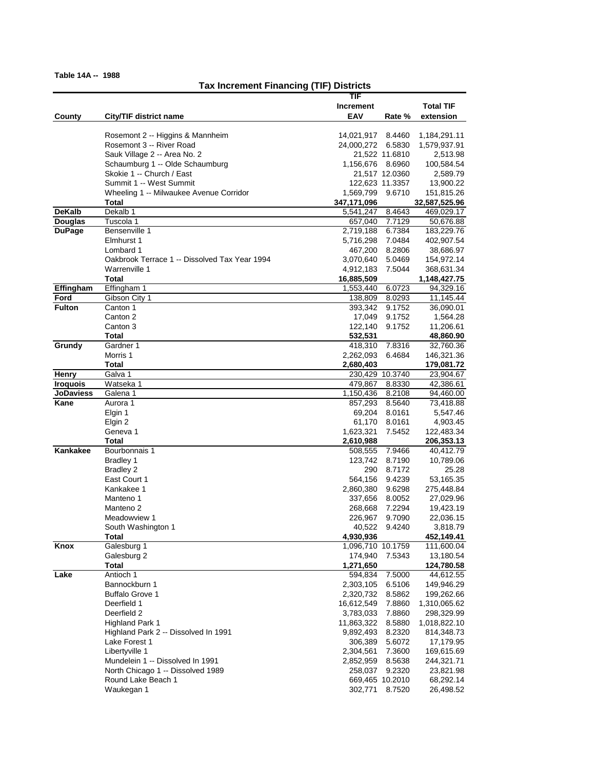# **Tax Increment Financing (TIF) Districts**

|                                 |                                               | TIF                  |                  |                          |
|---------------------------------|-----------------------------------------------|----------------------|------------------|--------------------------|
|                                 |                                               | <b>Increment</b>     |                  | <b>Total TIF</b>         |
| County                          | City/TIF district name                        | EAV                  | Rate %           | extension                |
|                                 |                                               |                      |                  |                          |
|                                 | Rosemont 2 -- Higgins & Mannheim              | 14,021,917           | 8.4460           | 1,184,291.11             |
|                                 | Rosemont 3 -- River Road                      | 24,000,272           | 6.5830           | 1,579,937.91             |
|                                 | Sauk Village 2 -- Area No. 2                  |                      | 21,522 11.6810   | 2,513.98                 |
|                                 | Schaumburg 1 -- Olde Schaumburg               | 1,156,676            | 8.6960           | 100,584.54               |
|                                 | Skokie 1 -- Church / East                     |                      | 21,517 12.0360   | 2,589.79                 |
|                                 | Summit 1 -- West Summit                       |                      | 122,623 11.3357  | 13,900.22                |
|                                 | Wheeling 1 -- Milwaukee Avenue Corridor       | 1,569,799            | 9.6710           | 151,815.26               |
|                                 | Total                                         | 347,171,096          |                  | 32,587,525.96            |
| <b>DeKalb</b>                   | Dekalb 1                                      | 5,541,247            | 8.4643           | 469,029.17               |
| <b>Douglas</b><br><b>DuPage</b> | Tuscola 1                                     | 657,040              | 7.7129           | 50,676.88                |
|                                 | Bensenville 1<br>Elmhurst 1                   | 2,719,188            | 6.7384           | 183,229.76               |
|                                 | Lombard 1                                     | 5,716,298<br>467,200 | 7.0484<br>8.2806 | 402,907.54               |
|                                 | Oakbrook Terrace 1 -- Dissolved Tax Year 1994 | 3,070,640            | 5.0469           | 38,686.97                |
|                                 | Warrenville 1                                 | 4,912,183            | 7.5044           | 154,972.14<br>368,631.34 |
|                                 | Total                                         | 16,885,509           |                  | 1,148,427.75             |
| Effingham                       | Effingham 1                                   | 1,553,440            | 6.0723           | 94,329.16                |
| Ford                            | Gibson City 1                                 | 138,809              | 8.0293           | 11,145.44                |
| <b>Fulton</b>                   | Canton 1                                      | 393,342              | 9.1752           | 36,090.01                |
|                                 | Canton 2                                      | 17,049               | 9.1752           | 1,564.28                 |
|                                 | Canton 3                                      | 122,140              | 9.1752           | 11,206.61                |
|                                 | Total                                         | 532,531              |                  | 48,860.90                |
| Grundy                          | Gardner 1                                     | 418,310              | 7.8316           | 32,760.36                |
|                                 | Morris 1                                      | 2,262,093            | 6.4684           | 146,321.36               |
|                                 | Total                                         | 2,680,403            |                  | 179,081.72               |
| Henry                           | Galva 1                                       |                      | 230,429 10.3740  | 23,904.67                |
| <b>Iroquois</b>                 | Watseka 1                                     | 479,867              | 8.8330           | 42,386.61                |
| <b>JoDaviess</b>                | Galena 1                                      | 1,150,436            | 8.2108           | 94,460.00                |
| Kane                            | Aurora 1                                      | 857,293              | 8.5640           | 73,418.88                |
|                                 | Elgin 1                                       | 69,204               | 8.0161           | 5,547.46                 |
|                                 | Elgin 2                                       | 61,170               | 8.0161           | 4,903.45                 |
|                                 | Geneva 1                                      | 1,623,321            | 7.5452           | 122,483.34               |
|                                 | Total                                         | 2,610,988            |                  | 206,353.13               |
| Kankakee                        | Bourbonnais 1                                 | 508,555              | 7.9466           | 40,412.79                |
|                                 | <b>Bradley 1</b>                              | 123,742              | 8.7190           | 10,789.06                |
|                                 | <b>Bradley 2</b>                              | 290                  | 8.7172           | 25.28                    |
|                                 | East Court 1                                  | 564,156              | 9.4239           | 53,165.35                |
|                                 | Kankakee 1                                    | 2,860,380            | 9.6298           | 275,448.84               |
|                                 | Manteno 1                                     | 337,656              | 8.0052           | 27,029.96                |
|                                 | Manteno 2<br>Meadowview 1                     | 268,668              | 7.2294           | 19,423.19                |
|                                 | South Washington 1                            | 226,967<br>40.522    | 9.7090<br>9.4240 | 22,036.15<br>3.818.79    |
|                                 | <b>Total</b>                                  | 4,930,936            |                  | 452,149.41               |
| Knox                            | Galesburg 1                                   | 1,096,710 10.1759    |                  | 111,600.04               |
|                                 | Galesburg 2                                   | 174,940              | 7.5343           | 13,180.54                |
|                                 | Total                                         | 1,271,650            |                  | 124,780.58               |
| Lake                            | Antioch 1                                     | 594,834              | 7.5000           | 44,612.55                |
|                                 | Bannockburn 1                                 | 2,303,105            | 6.5106           | 149,946.29               |
|                                 | <b>Buffalo Grove 1</b>                        | 2,320,732            | 8.5862           | 199,262.66               |
|                                 | Deerfield 1                                   | 16,612,549           | 7.8860           | 1,310,065.62             |
|                                 | Deerfield 2                                   | 3,783,033            | 7.8860           | 298,329.99               |
|                                 | <b>Highland Park 1</b>                        | 11,863,322           | 8.5880           | 1,018,822.10             |
|                                 | Highland Park 2 -- Dissolved In 1991          | 9,892,493            | 8.2320           | 814,348.73               |
|                                 | Lake Forest 1                                 | 306,389              | 5.6072           | 17,179.95                |
|                                 | Libertyville 1                                | 2,304,561            | 7.3600           | 169,615.69               |
|                                 | Mundelein 1 -- Dissolved In 1991              | 2,852,959            | 8.5638           | 244,321.71               |
|                                 | North Chicago 1 -- Dissolved 1989             | 258,037              | 9.2320           | 23,821.98                |
|                                 | Round Lake Beach 1                            |                      | 669,465 10.2010  | 68,292.14                |
|                                 | Waukegan 1                                    | 302,771              | 8.7520           | 26,498.52                |
|                                 |                                               |                      |                  |                          |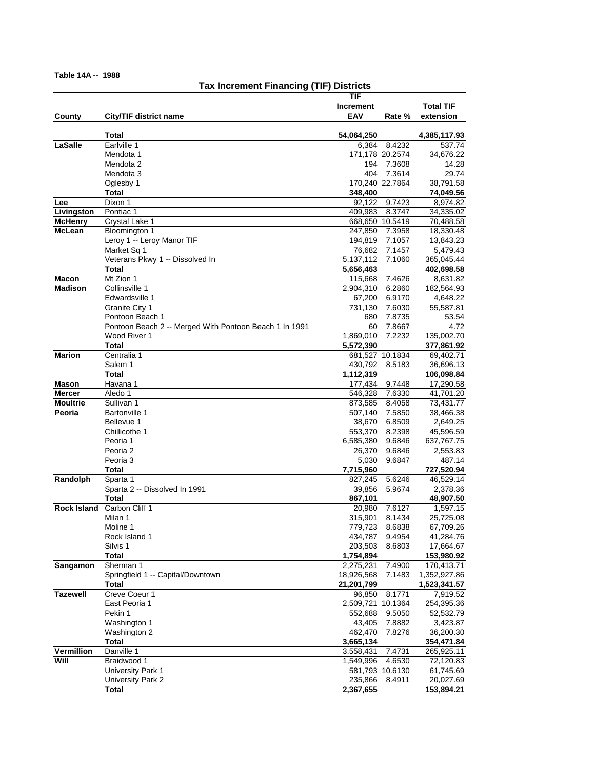# **Tax Increment Financing (TIF) Districts**

|                                  |                                                        | TIF                 |                  |                         |
|----------------------------------|--------------------------------------------------------|---------------------|------------------|-------------------------|
|                                  |                                                        | <b>Increment</b>    |                  | <b>Total TIF</b>        |
| County                           | City/TIF district name                                 | EAV                 | Rate %           | extension               |
|                                  |                                                        |                     |                  |                         |
|                                  | Total                                                  | 54,064,250          |                  | 4,385,117.93            |
| LaSalle                          | Earlville 1                                            | 6,384               | 8.4232           | 537.74                  |
|                                  | Mendota 1<br>Mendota 2                                 | 194                 | 171,178 20.2574  | 34,676.22               |
|                                  | Mendota 3                                              | 404                 | 7.3608<br>7.3614 | 14.28<br>29.74          |
|                                  | Oglesby 1                                              |                     | 170,240 22.7864  | 38,791.58               |
|                                  | Total                                                  | 348,400             |                  | 74,049.56               |
| Lee                              | Dixon 1                                                | 92,122              | 9.7423           | 8,974.82                |
| Livingston                       | Pontiac 1                                              | 409,983             | 8.3747           | 34,335.02               |
| <b>McHenry</b>                   | Crystal Lake 1                                         | 668,650             | 10.5419          | 70,488.58               |
| <b>McLean</b>                    | Bloomington 1                                          | 247,850             | 7.3958           | 18,330.48               |
|                                  | Leroy 1 -- Leroy Manor TIF                             | 194,819             | 7.1057           | 13,843.23               |
|                                  | Market Sq 1                                            | 76,682              | 7.1457           | 5,479.43                |
|                                  | Veterans Pkwy 1 -- Dissolved In                        | 5,137,112           | 7.1060           | 365,045.44              |
|                                  | Total                                                  | 5,656,463           |                  | 402,698.58              |
| Macon                            | Mt Zion 1                                              | 115,668             | 7.4626           | 8,631.82                |
| <b>Madison</b>                   | Collinsville 1                                         | 2,904,310           | 6.2860           | 182,564.93              |
|                                  | Edwardsville 1                                         | 67,200              | 6.9170           | 4,648.22                |
|                                  | Granite City 1                                         | 731,130             | 7.6030           | 55,587.81               |
|                                  | Pontoon Beach 1                                        | 680                 | 7.8735           | 53.54                   |
|                                  | Pontoon Beach 2 -- Merged With Pontoon Beach 1 In 1991 | 60                  | 7.8667           | 4.72                    |
|                                  | Wood River 1                                           | 1,869,010           | 7.2232           | 135,002.70              |
|                                  | Total                                                  | 5,572,390           |                  | 377,861.92              |
| <b>Marion</b>                    | Centralia 1                                            |                     | 681,527 10.1834  | 69,402.71               |
|                                  | Salem 1                                                | 430,792             | 8.5183           | 36,696.13               |
|                                  | Total                                                  | 1,112,319           |                  | 106,098.84              |
| Mason                            | Havana 1                                               | 177,434             | 9.7448           | 17,290.58               |
| <b>Mercer</b><br><b>Moultrie</b> | Aledo 1<br>Sullivan 1                                  | 546,328<br>873,585  | 7.6330<br>8.4058 | 41,701.20               |
| Peoria                           | <b>Bartonville 1</b>                                   | 507,140             | 7.5850           | 73,431.77<br>38,466.38  |
|                                  | Bellevue 1                                             | 38,670              | 6.8509           | 2,649.25                |
|                                  | Chillicothe 1                                          | 553,370             | 8.2398           | 45,596.59               |
|                                  | Peoria 1                                               | 6,585,380           | 9.6846           | 637,767.75              |
|                                  | Peoria 2                                               | 26,370              | 9.6846           | 2,553.83                |
|                                  | Peoria <sub>3</sub>                                    | 5,030               | 9.6847           | 487.14                  |
|                                  | <b>Total</b>                                           | 7,715,960           |                  | 727,520.94              |
| Randolph                         | Sparta 1                                               | 827,245             | 5.6246           | 46,529.14               |
|                                  | Sparta 2 -- Dissolved In 1991                          | 39,856              | 5.9674           | 2,378.36                |
|                                  | <b>Total</b>                                           | 867,101             |                  | 48,907.50               |
| <b>Rock Island</b>               | Carbon Cliff 1                                         | 20,980              | 7.6127           | 1,597.15                |
|                                  | Milan 1                                                | 315,901             | 8.1434           | 25,725.08               |
|                                  | Moline 1                                               | 779,723             | 8.6838           | 67.709.26               |
|                                  | Rock Island 1                                          | 434,787             | 9.4954           | 41,284.76               |
|                                  | Silvis 1                                               | 203,503             | 8.6803           | 17,664.67               |
|                                  | <b>Total</b>                                           | 1,754,894           |                  | 153,980.92              |
| Sangamon                         | Sherman 1                                              | 2,275,231           | 7.4900           | 170,413.71              |
|                                  | Springfield 1 -- Capital/Downtown                      | 18,926,568          | 7.1483           | 1,352,927.86            |
| <b>Tazewell</b>                  | Total<br>Creve Coeur 1                                 | 21,201,799          | 8.1771           | 1,523,341.57            |
|                                  | East Peoria 1                                          | 96,850<br>2,509,721 | 10.1364          | 7,919.52                |
|                                  | Pekin 1                                                | 552,688             | 9.5050           | 254,395.36<br>52,532.79 |
|                                  | Washington 1                                           | 43,405              | 7.8882           | 3,423.87                |
|                                  | Washington 2                                           | 462,470             | 7.8276           | 36,200.30               |
|                                  | Total                                                  | 3,665,134           |                  | 354,471.84              |
| <b>Vermillion</b>                | Danville 1                                             | 3,558,431           | 7.4731           | 265,925.11              |
| Will                             | Braidwood 1                                            | 1,549,996           | 4.6530           | 72,120.83               |
|                                  | University Park 1                                      | 581,793 10.6130     |                  | 61,745.69               |
|                                  | University Park 2                                      | 235,866             | 8.4911           | 20,027.69               |
|                                  | Total                                                  | 2,367,655           |                  | 153,894.21              |
|                                  |                                                        |                     |                  |                         |